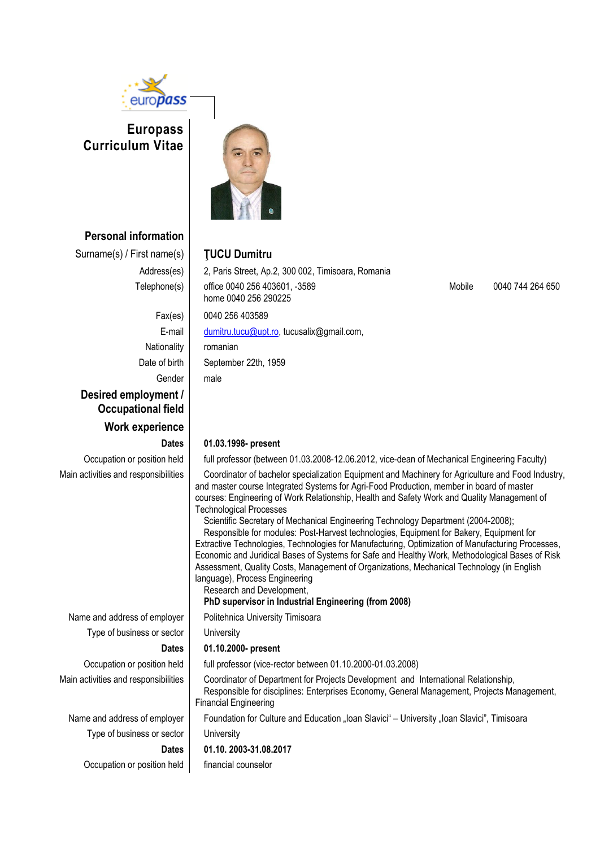

# **Europass Curriculum Vitae**



**Personal information**

Surname(s) / First name(s) **ŢUCU Dumitru**

Address(es) 2, Paris Street, Ap. 2, 300 002, Timisoara, Romania Telephone(s) office 0040 256 403601, -3589 home 0040 256 290225

Mobile 0040 744 264 650

Fax(es) 0040 256 403589 E-mail [dumitru.tucu@upt.ro,](mailto:dumitru.tucu@upt.ro) tucusalix@gmail.com, Nationality | romanian Date of birth September 22th, 1959 Gender | male **Desired employment / Occupational field Work experience**

Type of business or sector | University

Type of business or sector | University

Occupation or position held financial counselor

# **Dates 01.03.1998- present**

Occupation or position held full professor (between 01.03.2008-12.06.2012, vice-dean of Mechanical Engineering Faculty)

Main activities and responsibilities **Coordinator of bachelor specialization Equipment and Machinery for Agriculture and Food Industry,** and master course Integrated Systems for Agri-Food Production, member in board of master courses: Engineering of Work Relationship, Health and Safety Work and Quality Management of Technological Processes

Scientific Secretary of Mechanical Engineering Technology Department (2004-2008); Responsible for modules: Post-Harvest technologies, Equipment for Bakery, Equipment for Extractive Technologies, Technologies for Manufacturing, Optimization of Manufacturing Processes, Economic and Juridical Bases of Systems for Safe and Healthy Work, Methodological Bases of Risk Assessment, Quality Costs, Management of Organizations, Mechanical Technology (in English language), Process Engineering

Research and Development,

### **PhD supervisor in Industrial Engineering (from 2008)**

Name and address of employer | Politehnica University Timisoara

# **Dates 01.10.2000- present**

Occupation or position held | full professor (vice-rector between 01.10.2000-01.03.2008)

Main activities and responsibilities Coordinator of Department for Projects Development and International Relationship, Responsible for disciplines: Enterprises Economy, General Management, Projects Management, Financial Engineering

Name and address of employer Foundation for Culture and Education "Ioan Slavici" – University "Ioan Slavici", Timisoara

# **Dates 01.10. 2003-31.08.2017**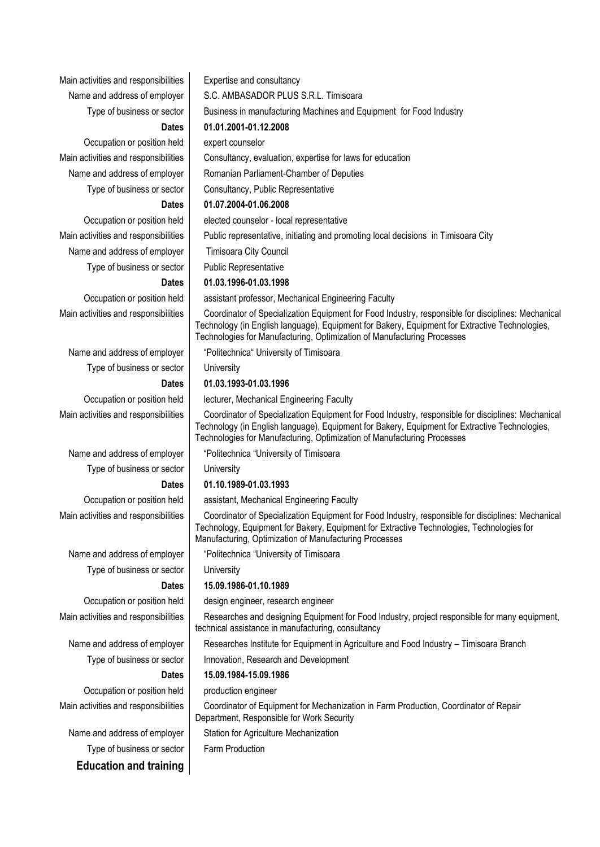Main activities and responsibilities | Expertise and consultancy

Occupation or position held expert counselor Type of business or sector **Consultancy**, Public Representative

Name and address of employer Timisoara City Council Type of business or sector  $\parallel$  Public Representative

Type of business or sector | University

Type of business or sector | University

Type of business or sector | University

Occupation or position held production engineer

Type of business or sector Farm Production **Education and training**

Name and address of employer S.C. AMBASADOR PLUS S.R.L. Timisoara Type of business or sector | Business in manufacturing Machines and Equipment for Food Industry **Dates 01.01.2001-01.12.2008** Main activities and responsibilities  $\parallel$  Consultancy, evaluation, expertise for laws for education Name and address of employer | Romanian Parliament-Chamber of Deputies

# **Dates 01.07.2004-01.06.2008**

Occupation or position held elected counselor - local representative

Main activities and responsibilities | Public representative, initiating and promoting local decisions in Timisoara City

### **Dates 01.03.1996-01.03.1998**

Occupation or position held | assistant professor, Mechanical Engineering Faculty

Main activities and responsibilities **Coordinator of Specialization Equipment for Food Industry**, responsible for disciplines: Mechanical Technology (in English language), Equipment for Bakery, Equipment for Extractive Technologies, Technologies for Manufacturing, Optimization of Manufacturing Processes

Name and address of employer | "Politechnica" University of Timisoara

### **Dates 01.03.1993-01.03.1996**

Occupation or position held | lecturer, Mechanical Engineering Faculty

Main activities and responsibilities **Coordinator of Specialization Equipment for Food Industry, responsible for disciplines: Mechanical** Technology (in English language), Equipment for Bakery, Equipment for Extractive Technologies, Technologies for Manufacturing, Optimization of Manufacturing Processes

Name and address of employer | "Politechnica "University of Timisoara

### **Dates 01.10.1989-01.03.1993**

Occupation or position held | assistant, Mechanical Engineering Faculty

Main activities and responsibilities **Coordinator of Specialization Equipment for Food Industry, responsible for disciplines: Mechanical** Technology, Equipment for Bakery, Equipment for Extractive Technologies, Technologies for Manufacturing, Optimization of Manufacturing Processes

Name and address of employer | "Politechnica "University of Timisoara

## **Dates 15.09.1986-01.10.1989**

Occupation or position held design engineer, research engineer

Main activities and responsibilities **Researches and designing Equipment for Food Industry**, project responsible for many equipment, technical assistance in manufacturing, consultancy

Name and address of employer | Researches Institute for Equipment in Agriculture and Food Industry – Timisoara Branch

Type of business or sector | Innovation, Research and Development

### **Dates 15.09.1984-15.09.1986**

Main activities and responsibilities | Coordinator of Equipment for Mechanization in Farm Production, Coordinator of Repair Department, Responsible for Work Security

Name and address of employer Station for Agriculture Mechanization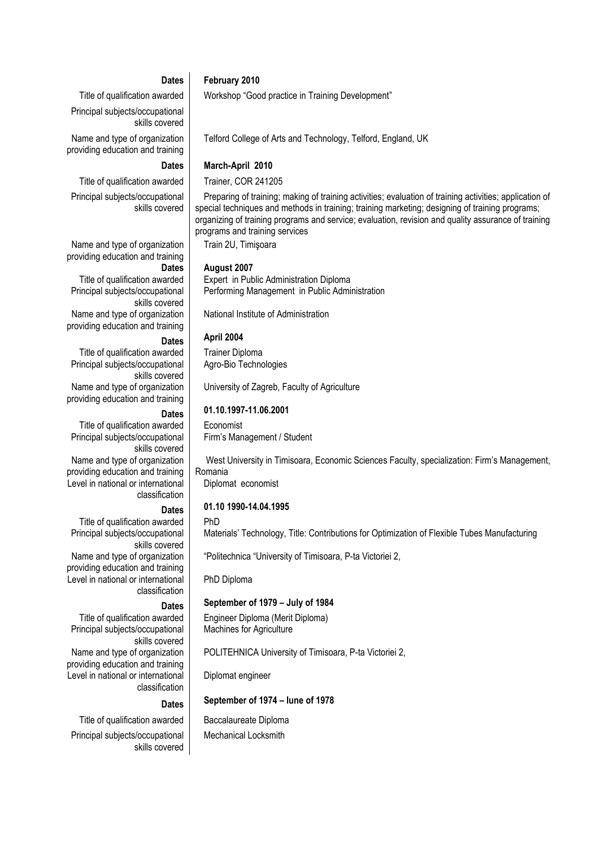# **Dates February 2010**

Title of qualification awarded Workshop "Good practice in Training Development" Principal subjects/occupational skills covered

Name and type of organization providing education and training

Principal subjects/occupational

Name and type of organization providing education and training

Principal subjects/occupational

Name and type of organization providing education and training

Principal subjects/occupational

Name and type of organization providing education and training

Principal subjects/occupational

Name and type of organization providing education and training

Level in national or international

### **Dates March-April 2010**

skills covered

skills covered

skills covered

skills covered

classification

Title of qualification awarded Trainer, COR 241205

Preparing of training; making of training activities; evaluation of training activities; application of special techniques and methods in training; training marketing; designing of training programs; organizing of training programs and service; evaluation, revision and quality assurance of training programs and training services

Train 2U, Timişoara

### **Dates August 2007**

Title of qualification awarded  $\parallel$  Expert in Public Administration Diploma Performing Management in Public Administration

Telford College of Arts and Technology, Telford, England, UK

National Institute of Administration

# **Dates April 2004**

Title of qualification awarded Trainer Diploma Agro-Bio Technologies

University of Zagreb, Faculty of Agriculture

# **Dates 01.10.1997-11.06.2001**

Title of qualification awarded Economist Firm's Management / Student

> West University in Timisoara, Economic Sciences Faculty, specialization: Firm's Management, Romania Diplomat economist

# **Dates 01.10 1990-14.04.1995**

Title of qualification awarded  $\parallel$  PhD Principal subjects/occupational skills covered Name and type of organization providing education and training

Level in national or international classification

Principal subjects/occupational skills covered Name and type of organization

providing education and training Level in national or international classification

Principal subjects/occupational skills covered

Materials' Technology, Title: Contributions for Optimization of Flexible Tubes Manufacturing

"Politechnica "University of Timisoara, P-ta Victoriei 2,

PhD Diploma

## **Dates September of 1979 – July of 1984**

Title of qualification awarded | Engineer Diploma (Merit Diploma) Machines for Agriculture

POLITEHNICA University of Timisoara, P-ta Victoriei 2,

Diplomat engineer

# **Dates September of 1974 – Iune of 1978**

Title of qualification awarded | Baccalaureate Diploma Mechanical Locksmith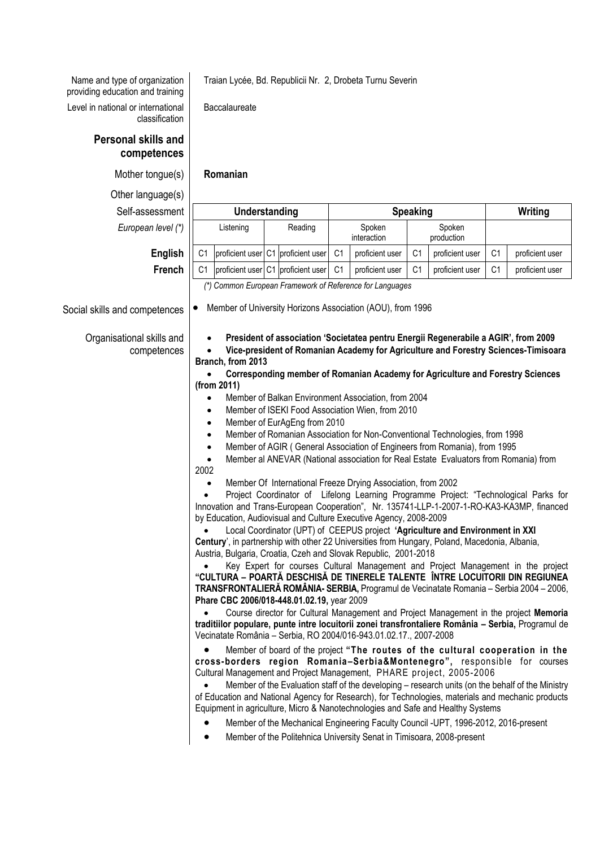Traian Lycée, Bd. Republicii Nr. 2, Drobeta Turnu Severin

Baccalaureate

Name and type of organization providing education and training

Level in national or international classification

# **Personal skills and competences**

Mother tongue(s) **Romanian**

Other

| Other language(s)                        |                                                                                                                                                                                                                                                                                                                                                                                                                                                                                                                                                                                                                   |         |                                    |                       |                 |                      |                 |                |                 |  |
|------------------------------------------|-------------------------------------------------------------------------------------------------------------------------------------------------------------------------------------------------------------------------------------------------------------------------------------------------------------------------------------------------------------------------------------------------------------------------------------------------------------------------------------------------------------------------------------------------------------------------------------------------------------------|---------|------------------------------------|-----------------------|-----------------|----------------------|-----------------|----------------|-----------------|--|
| Self-assessment                          | Understanding                                                                                                                                                                                                                                                                                                                                                                                                                                                                                                                                                                                                     |         | <b>Speaking</b>                    |                       |                 |                      | Writing         |                |                 |  |
| European level (*)                       | Listening                                                                                                                                                                                                                                                                                                                                                                                                                                                                                                                                                                                                         | Reading |                                    | Spoken<br>interaction |                 | Spoken<br>production |                 |                |                 |  |
| English                                  | C <sub>1</sub>                                                                                                                                                                                                                                                                                                                                                                                                                                                                                                                                                                                                    |         | proficient user C1 proficient user | C <sub>1</sub>        | proficient user | C <sub>1</sub>       | proficient user | C <sub>1</sub> | proficient user |  |
| French                                   | C1                                                                                                                                                                                                                                                                                                                                                                                                                                                                                                                                                                                                                |         | proficient user C1 proficient user | C <sub>1</sub>        | proficient user | C <sub>1</sub>       | proficient user | C <sub>1</sub> | proficient user |  |
|                                          | (*) Common European Framework of Reference for Languages                                                                                                                                                                                                                                                                                                                                                                                                                                                                                                                                                          |         |                                    |                       |                 |                      |                 |                |                 |  |
| Social skills and competences            | Member of University Horizons Association (AOU), from 1996                                                                                                                                                                                                                                                                                                                                                                                                                                                                                                                                                        |         |                                    |                       |                 |                      |                 |                |                 |  |
| Organisational skills and<br>competences | President of association 'Societatea pentru Energii Regenerabile a AGIR', from 2009<br>$\bullet$<br>Vice-president of Romanian Academy for Agriculture and Forestry Sciences-Timisoara<br>Branch, from 2013<br>Corresponding member of Romanian Academy for Agriculture and Forestry Sciences<br>$\bullet$<br>(from 2011)                                                                                                                                                                                                                                                                                         |         |                                    |                       |                 |                      |                 |                |                 |  |
|                                          | Member of Balkan Environment Association, from 2004<br>$\bullet$                                                                                                                                                                                                                                                                                                                                                                                                                                                                                                                                                  |         |                                    |                       |                 |                      |                 |                |                 |  |
|                                          | Member of ISEKI Food Association Wien, from 2010<br>٠<br>Member of EurAgEng from 2010<br>$\bullet$                                                                                                                                                                                                                                                                                                                                                                                                                                                                                                                |         |                                    |                       |                 |                      |                 |                |                 |  |
|                                          | Member of Romanian Association for Non-Conventional Technologies, from 1998<br>$\bullet$                                                                                                                                                                                                                                                                                                                                                                                                                                                                                                                          |         |                                    |                       |                 |                      |                 |                |                 |  |
|                                          | Member of AGIR (General Association of Engineers from Romania), from 1995<br>$\bullet$                                                                                                                                                                                                                                                                                                                                                                                                                                                                                                                            |         |                                    |                       |                 |                      |                 |                |                 |  |
|                                          | Member al ANEVAR (National association for Real Estate Evaluators from Romania) from<br>$\bullet$                                                                                                                                                                                                                                                                                                                                                                                                                                                                                                                 |         |                                    |                       |                 |                      |                 |                |                 |  |
|                                          | 2002                                                                                                                                                                                                                                                                                                                                                                                                                                                                                                                                                                                                              |         |                                    |                       |                 |                      |                 |                |                 |  |
|                                          | Member Of International Freeze Drying Association, from 2002<br>Project Coordinator of Lifelong Learning Programme Project: "Technological Parks for                                                                                                                                                                                                                                                                                                                                                                                                                                                              |         |                                    |                       |                 |                      |                 |                |                 |  |
|                                          | Innovation and Trans-European Cooperation", Nr. 135741-LLP-1-2007-1-RO-KA3-KA3MP, financed                                                                                                                                                                                                                                                                                                                                                                                                                                                                                                                        |         |                                    |                       |                 |                      |                 |                |                 |  |
|                                          | by Education, Audiovisual and Culture Executive Agency, 2008-2009                                                                                                                                                                                                                                                                                                                                                                                                                                                                                                                                                 |         |                                    |                       |                 |                      |                 |                |                 |  |
|                                          | Local Coordinator (UPT) of CEEPUS project 'Agriculture and Environment in XXI                                                                                                                                                                                                                                                                                                                                                                                                                                                                                                                                     |         |                                    |                       |                 |                      |                 |                |                 |  |
|                                          | Century', in partnership with other 22 Universities from Hungary, Poland, Macedonia, Albania,<br>Austria, Bulgaria, Croatia, Czeh and Slovak Republic, 2001-2018                                                                                                                                                                                                                                                                                                                                                                                                                                                  |         |                                    |                       |                 |                      |                 |                |                 |  |
|                                          | Key Expert for courses Cultural Management and Project Management in the project<br>"CULTURA – POARTĂ DESCHISĂ DE TINERELE TALENTE ÎNTRE LOCUITORII DIN REGIUNEA<br>TRANSFRONTALIERĂ ROMÂNIA- SERBIA, Programul de Vecinatate Romania - Serbia 2004 - 2006,<br>Phare CBC 2006/018-448.01.02.19, year 2009                                                                                                                                                                                                                                                                                                         |         |                                    |                       |                 |                      |                 |                |                 |  |
|                                          | Course director for Cultural Management and Project Management in the project Memoria<br>traditiilor populare, punte intre locuitorii zonei transfrontaliere România - Serbia, Programul de<br>Vecinatate România - Serbia, RO 2004/016-943.01.02.17., 2007-2008                                                                                                                                                                                                                                                                                                                                                  |         |                                    |                       |                 |                      |                 |                |                 |  |
|                                          | Member of board of the project "The routes of the cultural cooperation in the<br>cross-borders region Romania-Serbia&Montenegro", responsible for courses<br>Cultural Management and Project Management, PHARE project, 2005-2006<br>Member of the Evaluation staff of the developing – research units (on the behalf of the Ministry<br>of Education and National Agency for Research), for Technologies, materials and mechanic products<br>Equipment in agriculture, Micro & Nanotechnologies and Safe and Healthy Systems<br>Mamber of the Mechanical Engineering Equility Council HDT 1006 2012 2016 procent |         |                                    |                       |                 |                      |                 |                |                 |  |

- Member of the Mechanical Engineering Faculty Council -UPT, 1996-2012, 2016-present
- Member of the Politehnica University Senat in Timisoara, 2008-present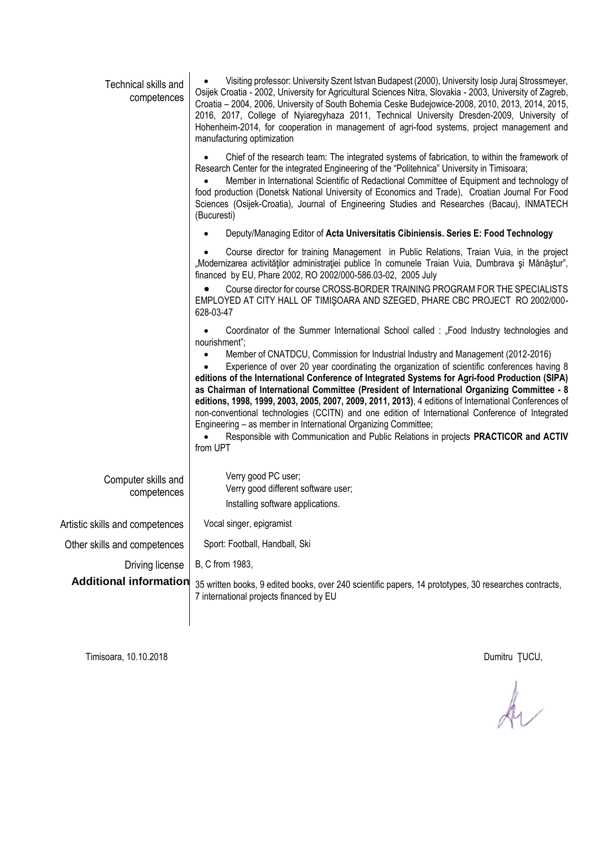| Technical skills and<br>competences | Visiting professor: University Szent Istvan Budapest (2000), University losip Juraj Strossmeyer,<br>Osijek Croatia - 2002, University for Agricultural Sciences Nitra, Slovakia - 2003, University of Zagreb,<br>Croatia - 2004, 2006, University of South Bohemia Ceske Budejowice-2008, 2010, 2013, 2014, 2015,<br>2016, 2017, College of Nyiaregyhaza 2011, Technical University Dresden-2009, University of<br>Hohenheim-2014, for cooperation in management of agri-food systems, project management and<br>manufacturing optimization                                                                                                                                                                                                                                                                                                                                   |  |  |  |  |
|-------------------------------------|-------------------------------------------------------------------------------------------------------------------------------------------------------------------------------------------------------------------------------------------------------------------------------------------------------------------------------------------------------------------------------------------------------------------------------------------------------------------------------------------------------------------------------------------------------------------------------------------------------------------------------------------------------------------------------------------------------------------------------------------------------------------------------------------------------------------------------------------------------------------------------|--|--|--|--|
|                                     | Chief of the research team: The integrated systems of fabrication, to within the framework of<br>Research Center for the integrated Engineering of the "Politehnica" University in Timisoara;<br>Member in International Scientific of Redactional Committee of Equipment and technology of<br>food production (Donetsk National University of Economics and Trade), Croatian Journal For Food<br>Sciences (Osijek-Croatia), Journal of Engineering Studies and Researches (Bacau), INMATECH<br>(Bucuresti)                                                                                                                                                                                                                                                                                                                                                                   |  |  |  |  |
|                                     | Deputy/Managing Editor of Acta Universitatis Cibiniensis. Series E: Food Technology                                                                                                                                                                                                                                                                                                                                                                                                                                                                                                                                                                                                                                                                                                                                                                                           |  |  |  |  |
|                                     | Course director for training Management in Public Relations, Traian Vuia, in the project<br>"Modernizarea activităților administrației publice în comunele Traian Vuia, Dumbrava și Mănăștur",<br>financed by EU, Phare 2002, RO 2002/000-586.03-02, 2005 July                                                                                                                                                                                                                                                                                                                                                                                                                                                                                                                                                                                                                |  |  |  |  |
|                                     | Course director for course CROSS-BORDER TRAINING PROGRAM FOR THE SPECIALISTS<br>EMPLOYED AT CITY HALL OF TIMIŞOARA AND SZEGED, PHARE CBC PROJECT RO 2002/000-<br>628-03-47                                                                                                                                                                                                                                                                                                                                                                                                                                                                                                                                                                                                                                                                                                    |  |  |  |  |
|                                     | Coordinator of the Summer International School called : "Food Industry technologies and<br>nourishment";<br>Member of CNATDCU, Commission for Industrial Industry and Management (2012-2016)<br>Experience of over 20 year coordinating the organization of scientific conferences having 8<br>editions of the International Conference of Integrated Systems for Agri-food Production (SIPA)<br>as Chairman of International Committee (President of International Organizing Committee - 8<br>editions, 1998, 1999, 2003, 2005, 2007, 2009, 2011, 2013), 4 editions of International Conferences of<br>non-conventional technologies (CCITN) and one edition of International Conference of Integrated<br>Engineering - as member in International Organizing Committee;<br>Responsible with Communication and Public Relations in projects PRACTICOR and ACTIV<br>from UPT |  |  |  |  |
| Computer skills and<br>competences  | Verry good PC user;<br>Verry good different software user;<br>Installing software applications.                                                                                                                                                                                                                                                                                                                                                                                                                                                                                                                                                                                                                                                                                                                                                                               |  |  |  |  |
| Artistic skills and competences     | Vocal singer, epigramist                                                                                                                                                                                                                                                                                                                                                                                                                                                                                                                                                                                                                                                                                                                                                                                                                                                      |  |  |  |  |
| Other skills and competences        | Sport: Football, Handball, Ski                                                                                                                                                                                                                                                                                                                                                                                                                                                                                                                                                                                                                                                                                                                                                                                                                                                |  |  |  |  |
| Driving license                     | B, C from 1983,                                                                                                                                                                                                                                                                                                                                                                                                                                                                                                                                                                                                                                                                                                                                                                                                                                                               |  |  |  |  |
| <b>Additional information</b>       | 35 written books, 9 edited books, over 240 scientific papers, 14 prototypes, 30 researches contracts,<br>7 international projects financed by EU                                                                                                                                                                                                                                                                                                                                                                                                                                                                                                                                                                                                                                                                                                                              |  |  |  |  |
|                                     |                                                                                                                                                                                                                                                                                                                                                                                                                                                                                                                                                                                                                                                                                                                                                                                                                                                                               |  |  |  |  |

Timisoara, 10.10.2018 Dumitru ŢUCU,

 $\frac{1}{2}$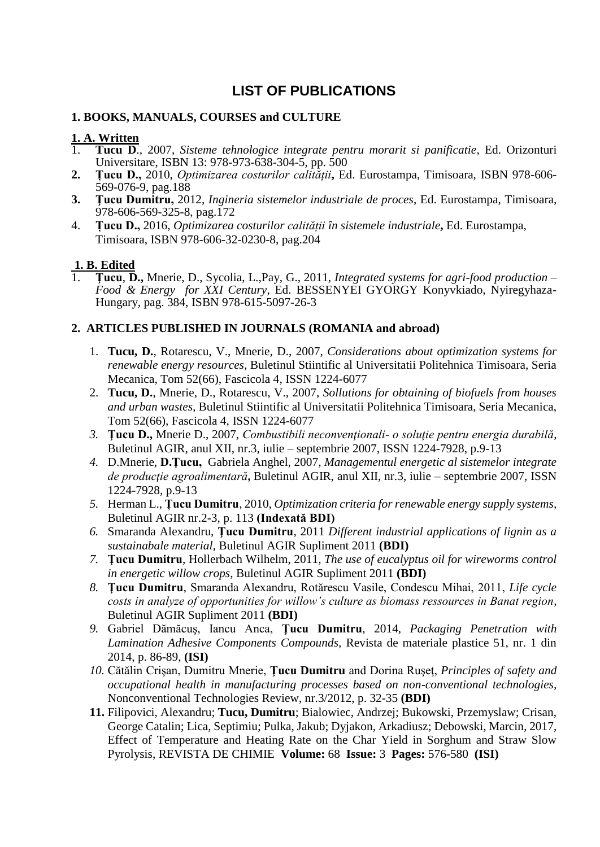# **LIST OF PUBLICATIONS**

# **1. BOOKS, MANUALS, COURSES and CULTURE**

# **1. A. Written**<br>1. **Tucu D.**

- 1. **Tucu D**., 2007, *Sisteme tehnologice integrate pentru morarit si panificatie*, Ed. Orizonturi Universitare, ISBN 13: 978-973-638-304-5, pp. 500
- **2. Țucu D.,** 2010, *Optimizarea costurilor calității***,** Ed. Eurostampa, Timisoara, ISBN 978-606- 569-076-9, pag.188
- **3. Ţucu Dumitru,** 2012, *Ingineria sistemelor industriale de proces*, Ed. Eurostampa, Timisoara, 978-606-569-325-8, pag.172
- 4. **Țucu D.,** 2016, *Optimizarea costurilor calității în sistemele industriale***,** Ed. Eurostampa, Timisoara, ISBN 978-606-32-0230-8, pag.204

# **1. B. Edited**

1. **Ţucu**, **D.,** Mnerie, D., Sycolia, L.,Pay, G., 2011, *Integrated systems for agri-food production – Food & Energy for XXI Century*, Ed. BESSENYEI GYORGY Konyvkiado, Nyiregyhaza-Hungary, pag. 384, ISBN 978-615-5097-26-3

# **2. ARTICLES PUBLISHED IN JOURNALS (ROMANIA and abroad)**

- 1. **Tucu, D.**, Rotarescu, V., Mnerie, D., 2007, *Considerations about optimization systems for renewable energy resources,* Buletinul Stiintific al Universitatii Politehnica Timisoara, Seria Mecanica, Tom 52(66), Fascicola 4, ISSN 1224-6077
- 2. **Tucu, D.**, Mnerie, D., Rotarescu, V., 2007, *Sollutions for obtaining of biofuels from houses and urban wastes,* Buletinul Stiintific al Universitatii Politehnica Timisoara, Seria Mecanica, Tom 52(66), Fascicola 4, ISSN 1224-6077
- *3.* **Ţucu D.,** Mnerie D., 2007, *Combustibili neconvenţionali- o soluţie pentru energia durabilă*, Buletinul AGIR, anul XII, nr.3, iulie – septembrie 2007, ISSN 1224-7928, p.9-13
- *4.* D.Mnerie, **D.Ţucu,** Gabriela Anghel, 2007, *Managementul energetic al sistemelor integrate de producţie agroalimentară***,** Buletinul AGIR, anul XII, nr.3, iulie – septembrie 2007, ISSN 1224-7928, p.9-13
- *5.* Herman L., **Țucu Dumitru***,* 2010, *Optimization criteria for renewable energy supply systems,* Buletinul AGIR nr.2-3, p. 113 **(Indexată BDI)**
- *6.* Smaranda Alexandru, **Ţucu Dumitru**, 2011 *[Different industrial applications of lignin as a](http://www.agir.ro/buletine/1293.pdf)  [sustainabale](http://www.agir.ro/buletine/1293.pdf) material,* Buletinul AGIR Supliment 2011 **(BDI)**
- *7.* **Ţucu Dumitru**, Hollerbach Wilhelm, 2011*, [The use of eucalyptus oil for wireworms control](http://www.agir.ro/buletine/1299.pdf)  [in energetic willow crops,](http://www.agir.ro/buletine/1299.pdf)* Buletinul AGIR Supliment 2011 **(BDI)**
- *8.* **Ţucu Dumitru**, Smaranda Alexandru, Rotărescu Vasile, Condescu Mihai, 2011, *[Life cycle](http://www.agir.ro/buletine/1352.pdf)  [costs in analyze of opportunities for willow's culture as biomass ressources in Banat region,](http://www.agir.ro/buletine/1352.pdf)*  Buletinul AGIR Supliment 2011 **(BDI)**
- *9.* Gabriel Dămăcuş, Iancu Anca, **Ţucu Dumitru**, 2014, *Packaging Penetration with Lamination Adhesive Components Compounds,* Revista de materiale plastice 51, nr. 1 din 2014, p. 86-89, **(ISI)**
- *10.* Cătălin Crişan, Dumitru Mnerie, **Ţucu Dumitru** and Dorina Ruşeţ, *Principles of safety and occupational health in manufacturing processes based on non-conventional technologies,*  Nonconventional Technologies Review, nr.3/2012, p. 32-35 **(BDI)**
- **11.** Filipovici, Alexandru; **Tucu, Dumitru**; Bialowiec, Andrzej; Bukowski, Przemyslaw; Crisan, George Catalin; Lica, Septimiu; Pulka, Jakub; Dyjakon, Arkadiusz; Debowski, Marcin, 2017, Effect of Temperature and Heating Rate on the Char Yield in Sorghum and Straw Slow Pyrolysis, REVISTA DE CHIMIE **Volume:** 68 **Issue:** 3 **Pages:** 576-580 **(ISI)**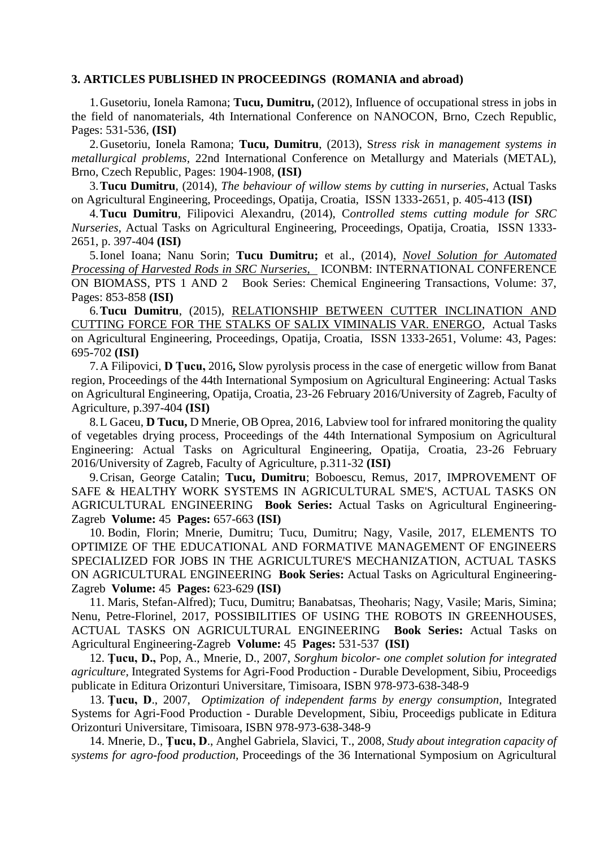## **3. ARTICLES PUBLISHED IN PROCEEDINGS (ROMANIA and abroad)**

1.Gusetoriu, Ionela Ramona; **Tucu, Dumitru,** (2012), Influence of occupational stress in jobs in the field of nanomaterials, 4th International Conference on NANOCON, Brno, Czech Republic, Pages: 531-536, **(ISI)**

2.Gusetoriu, Ionela Ramona; **Tucu, Dumitru**, (2013), S*tress risk in management systems in metallurgical problems,* 22nd International Conference on Metallurgy and Materials (METAL), Brno, Czech Republic, Pages: 1904-1908, **(ISI)**

3.**Tucu Dumitru**, (2014), *The behaviour of willow stems by cutting in nurseries*, Actual Tasks on Agricultural Engineering, Proceedings, Opatija, Croatia, ISSN 1333-2651, p. 405-413 **(ISI)**

4.**Tucu Dumitru**, Filipovici Alexandru, (2014), C*ontrolled stems cutting module for SRC Nurseries*, Actual Tasks on Agricultural Engineering, Proceedings, Opatija, Croatia, ISSN 1333- 2651, p. 397-404 **(ISI)**

5.Ionel Ioana; Nanu Sorin; **Tucu Dumitru;** et al., (2014), *[Novel Solution for Automated](https://apps.webofknowledge.com/full_record.do?product=WOS&search_mode=GeneralSearch&qid=1&SID=R2daaQlpvXmY8elOJXu&page=1&doc=3&cacheurlFromRightClick=no)  [Processing of Harvested Rods in SRC Nurseries,](https://apps.webofknowledge.com/full_record.do?product=WOS&search_mode=GeneralSearch&qid=1&SID=R2daaQlpvXmY8elOJXu&page=1&doc=3&cacheurlFromRightClick=no)* ICONBM: INTERNATIONAL CONFERENCE ON BIOMASS, PTS 1 AND 2 Book Series: Chemical Engineering Transactions, Volume: 37, Pages: 853-858 **(ISI)**

6.**Tucu Dumitru**, (2015), [RELATIONSHIP BETWEEN CUTTER INCLINATION AND](https://apps.webofknowledge.com/full_record.do?product=WOS&search_mode=GeneralSearch&qid=1&SID=R2daaQlpvXmY8elOJXu&page=1&doc=1&cacheurlFromRightClick=no)  [CUTTING FORCE FOR THE STALKS OF SALIX VIMINALIS VAR. ENERGO,](https://apps.webofknowledge.com/full_record.do?product=WOS&search_mode=GeneralSearch&qid=1&SID=R2daaQlpvXmY8elOJXu&page=1&doc=1&cacheurlFromRightClick=no) Actual Tasks on Agricultural Engineering, Proceedings, Opatija, Croatia, ISSN 1333-2651, Volume: 43, Pages: 695-702 **(ISI)**

7.A Filipovici, **D Țucu,** 2016**,** [Slow pyrolysis process in the case of energetic willow from Banat](https://www.cabdirect.org/cabdirect/abstract/20163246116)  [region,](https://www.cabdirect.org/cabdirect/abstract/20163246116) Proceedings of the 44th International Symposium on Agricultural Engineering: Actual Tasks on Agricultural Engineering, Opatija, Croatia, 23-26 February 2016/University of Zagreb, Faculty of Agriculture, p.397-404 **(ISI)**

8.L Gaceu, **D Tucu,** D Mnerie, OB Oprea, 2016[, Labview tool for infrared monitoring the quality](https://www.cabdirect.org/cabdirect/abstract/20163246107)  [of vegetables drying process,](https://www.cabdirect.org/cabdirect/abstract/20163246107) Proceedings of the 44th International Symposium on Agricultural Engineering: Actual Tasks on Agricultural Engineering, Opatija, Croatia, 23-26 February 2016/University of Zagreb, Faculty of Agriculture, p.311-32 **(ISI)**

9.Crisan, George Catalin; **Tucu, Dumitru**; Boboescu, Remus, 2017, IMPROVEMENT OF SAFE & HEALTHY WORK SYSTEMS IN AGRICULTURAL SME'S, ACTUAL TASKS ON AGRICULTURAL ENGINEERING **Book Series:** Actual Tasks on Agricultural Engineering-Zagreb **Volume:** 45 **Pages:** 657-663 **(ISI)**

10. Bodin, Florin; Mnerie, Dumitru; Tucu, Dumitru; Nagy, Vasile, 2017, ELEMENTS TO OPTIMIZE OF THE EDUCATIONAL AND FORMATIVE MANAGEMENT OF ENGINEERS SPECIALIZED FOR JOBS IN THE AGRICULTURE'S MECHANIZATION, ACTUAL TASKS ON AGRICULTURAL ENGINEERING **Book Series:** Actual Tasks on Agricultural Engineering-Zagreb **Volume:** 45 **Pages:** 623-629 **(ISI)**

11. Maris, Stefan-Alfred); Tucu, Dumitru; Banabatsas, Theoharis; Nagy, Vasile; Maris, Simina; Nenu, Petre-Florinel, 2017, POSSIBILITIES OF USING THE ROBOTS IN GREENHOUSES, ACTUAL TASKS ON AGRICULTURAL ENGINEERING **Book Series:** Actual Tasks on Agricultural Engineering-Zagreb **Volume:** 45 **Pages:** 531-537 **(ISI)**

12. **Ţucu, D.,** Pop, A., Mnerie, D., 2007, *Sorghum bicolor- one complet solution for integrated agriculture,* Integrated Systems for Agri-Food Production - Durable Development, Sibiu, Proceedigs publicate in Editura Orizonturi Universitare, Timisoara, ISBN 978-973-638-348-9

13. **Ţucu, D**., 2007, *Optimization of independent farms by energy consumption,* Integrated Systems for Agri-Food Production - Durable Development, Sibiu, Proceedigs publicate in Editura Orizonturi Universitare, Timisoara, ISBN 978-973-638-348-9

14. Mnerie, D., **Ţucu, D**., Anghel Gabriela, Slavici, T., 2008, *Study about integration capacity of systems for agro-food production,* Proceedings of the 36 International Symposium on Agricultural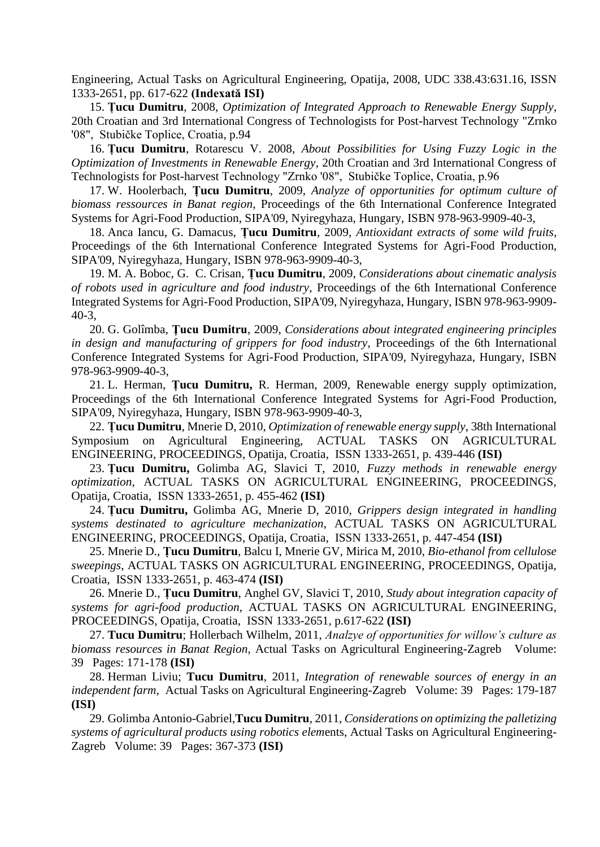Engineering, Actual Tasks on Agricultural Engineering, Opatija, 2008, UDC 338.43:631.16, ISSN 1333-2651, pp. 617-622 **(Indexată ISI)**

15. **Țucu Dumitru**, 2008, *Optimization of Integrated Approach to Renewable Energy Supply*, 20th Croatian and 3rd International Congress of Technologists for Post-harvest Technology "Zrnko '08", Stubičke Toplice, Croatia, p.94

16. **Țucu Dumitru**, Rotarescu V. 2008, *About Possibilities for Using Fuzzy Logic in the Optimization of Investments in Renewable Energy*, 20th Croatian and 3rd International Congress of Technologists for Post-harvest Technology "Zrnko '08", Stubičke Toplice, Croatia, p.96

17. W. Hoolerbach, **Țucu Dumitru**, 2009, *Analyze of opportunities for optimum culture of biomass ressources in Banat region*, Proceedings of the 6th International Conference Integrated Systems for Agri-Food Production, SIPA'09, Nyiregyhaza, Hungary, ISBN 978-963-9909-40-3,

18. Anca Iancu, G. Damacus, **Țucu Dumitru**, 2009, *Antioxidant extracts of some wild fruits*, Proceedings of the 6th International Conference Integrated Systems for Agri-Food Production, SIPA'09, Nyiregyhaza, Hungary, ISBN 978-963-9909-40-3,

19. M. A. Boboc, G. C. Crisan, **Țucu Dumitru**, 2009, *Considerations about cinematic analysis of robots used in agriculture and food industry*, Proceedings of the 6th International Conference Integrated Systems for Agri-Food Production, SIPA'09, Nyiregyhaza, Hungary, ISBN 978-963-9909- 40-3,

20. G. Golîmba, **Ţucu Dumitru**, 2009, *Considerations about integrated engineering principles in design and manufacturing of grippers for food industry*, Proceedings of the 6th International Conference Integrated Systems for Agri-Food Production, SIPA'09, Nyiregyhaza, Hungary, ISBN 978-963-9909-40-3,

21. L. Herman, **Țucu Dumitru,** R. Herman, 2009, Renewable energy supply optimization, Proceedings of the 6th International Conference Integrated Systems for Agri-Food Production, SIPA'09, Nyiregyhaza, Hungary, ISBN 978-963-9909-40-3,

22. **Țucu Dumitru**, Mnerie D, 2010, *Optimization of renewable energy supply*, 38th International Symposium on Agricultural Engineering, ACTUAL TASKS ON AGRICULTURAL ENGINEERING, PROCEEDINGS, Opatija, Croatia, ISSN 1333-2651, p. 439-446 **(ISI)**

23. **Țucu Dumitru,** Golimba AG, Slavici T, 2010, *Fuzzy methods in renewable energy optimization*, ACTUAL TASKS ON AGRICULTURAL ENGINEERING, PROCEEDINGS, Opatija, Croatia, ISSN 1333-2651, p. 455-462 **(ISI)**

24. **Țucu Dumitru,** Golimba AG, Mnerie D, 2010, *Grippers design integrated in handling systems destinated to agriculture mechanization*, ACTUAL TASKS ON AGRICULTURAL ENGINEERING, PROCEEDINGS, Opatija, Croatia, ISSN 1333-2651, p. 447-454 **(ISI)**

25. Mnerie D., **Țucu Dumitru**, Balcu I, Mnerie GV, Mirica M, 2010, *Bio-ethanol from cellulose sweepings*, ACTUAL TASKS ON AGRICULTURAL ENGINEERING, PROCEEDINGS, Opatija, Croatia, ISSN 1333-2651, p. 463-474 **(ISI)**

26. Mnerie D., **Țucu Dumitru**, Anghel GV, Slavici T, 2010, *Study about integration capacity of systems for agri-food production*, ACTUAL TASKS ON AGRICULTURAL ENGINEERING, PROCEEDINGS, Opatija, Croatia, ISSN 1333-2651, p.617-622 **(ISI)**

27. **Tucu Dumitru**; Hollerbach Wilhelm, 2011, *Analzye of opportunities for willow's culture as biomass resources in Banat Region*, Actual Tasks on Agricultural Engineering-Zagreb Volume: 39 Pages: 171-178 **(ISI)**

28. Herman Liviu; **Tucu Dumitru**, 2011, *Integration of renewable sources of energy in an independent farm*, Actual Tasks on Agricultural Engineering-Zagreb Volume: 39 Pages: 179-187 **(ISI)**

29. Golimba Antonio-Gabriel,**Tucu Dumitru**, 2011, *Considerations on optimizing the palletizing systems of agricultural products using robotics elem*ents, Actual Tasks on Agricultural Engineering-Zagreb Volume: 39 Pages: 367-373 **(ISI)**